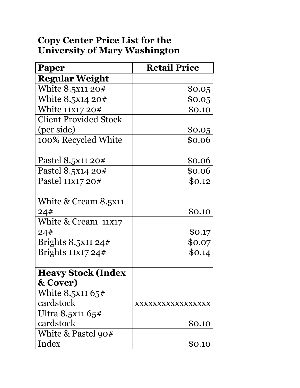## **Copy Center Price List for the University of Mary Washington**

| Paper                        | <b>Retail Price</b> |
|------------------------------|---------------------|
| <b>Regular Weight</b>        |                     |
| White 8.5x11 20#             | \$0.05              |
| White 8.5x14 20#             | \$0.05              |
| White 11x17 20#              | \$0.10              |
| <b>Client Provided Stock</b> |                     |
| (per side)                   | \$0.05              |
| 100% Recycled White          | \$0.06              |
|                              |                     |
| Pastel 8.5x11 20#            | \$0.06              |
| Pastel 8.5x14 20#            | \$0.06              |
| Pastel 11X17 20#             | \$0.12              |
|                              |                     |
| White & Cream 8.5x11         |                     |
| 24#                          | \$0.10              |
| White & Cream 11x17          |                     |
| 24#                          | \$0.17              |
| Brights $8.5x1124#$          | \$0.07              |
| Brights $11x1724#$           | \$0.14              |
|                              |                     |
| <b>Heavy Stock (Index</b>    |                     |
| & Cover)                     |                     |
| White $8.5x1165#$            |                     |
| cardstock                    | XXXXXXXXXXXXXXXX    |
| Ultra 8.5x11 65#             |                     |
| cardstock                    | \$0.10              |
| White & Pastel 90#           |                     |
| Index                        | \$0.10              |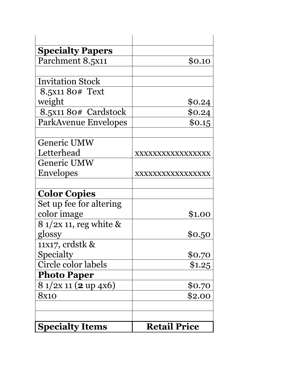| <b>Specialty Papers</b>      |                     |
|------------------------------|---------------------|
| Parchment 8.5x11             | \$0.10              |
|                              |                     |
| <b>Invitation Stock</b>      |                     |
| 8.5x11 80# Text              |                     |
| weight                       | \$0.24              |
| 8.5x11 80# Cardstock         | \$0.24              |
| ParkAvenue Envelopes         | \$0.15              |
|                              |                     |
| Generic UMW                  |                     |
| Letterhead                   | XXXXXXXXXXXXXXXX    |
| <b>Generic UMW</b>           |                     |
| <b>Envelopes</b>             | XXXXXXXXXXXXXXXX    |
|                              |                     |
| <b>Color Copies</b>          |                     |
| Set up fee for altering      |                     |
| color image                  | \$1.00              |
| 8 1/2x 11, reg white &       |                     |
| glossy                       | \$0.50              |
| 11x17, crdstk &              |                     |
| Specialty                    | \$0.70              |
| Circle color labels          | \$1.25              |
| <b>Photo Paper</b>           |                     |
| 8 1/2x 11 ( <b>2</b> up 4x6) | \$0.70              |
| 8x10                         | \$2.00              |
|                              |                     |
|                              |                     |
| <b>Specialty Items</b>       | <b>Retail Price</b> |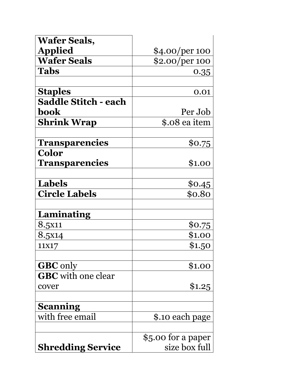| <b>Wafer Seals,</b>         |                    |
|-----------------------------|--------------------|
| <b>Applied</b>              | \$4.00/per 100     |
| <b>Wafer Seals</b>          | \$2.00/per 100     |
| <b>Tabs</b>                 | 0.35               |
|                             |                    |
| <b>Staples</b>              | 0.01               |
| <b>Saddle Stitch - each</b> |                    |
| book                        | Per Job            |
| <b>Shrink Wrap</b>          | \$.08 ea item      |
|                             |                    |
| <b>Transparencies</b>       | \$0.75             |
| <b>Color</b>                |                    |
| <b>Transparencies</b>       | \$1.00             |
|                             |                    |
| <b>Labels</b>               | \$0.45             |
| <b>Circle Labels</b>        | \$0.80             |
|                             |                    |
| Laminating                  |                    |
| 8.5x11                      | \$0.75             |
| 8.5x14                      | \$1.00             |
| 11X17                       | \$1.50             |
|                             |                    |
| <b>GBC</b> only             | \$1.00             |
| <b>GBC</b> with one clear   |                    |
| cover                       | \$1.25             |
|                             |                    |
| Scanning                    |                    |
| with free email             | \$.10 each page    |
|                             |                    |
|                             | \$5.00 for a paper |
| <b>Shredding Service</b>    | size box full      |